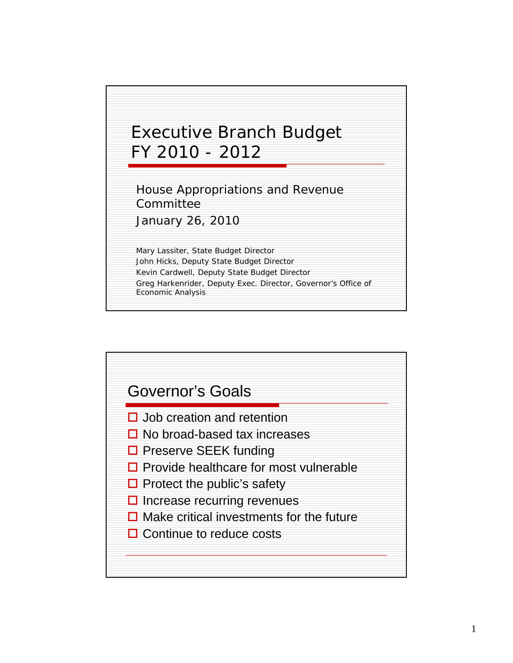

House Appropriations and Revenue Committee

January 26, 2010

Mary Lassiter, State Budget Director John Hicks, Deputy State Budget Director Kevin Cardwell, Deputy State Budget Director Greg Harkenrider, Deputy Exec. Director, Governor's Office of Economic Analysis

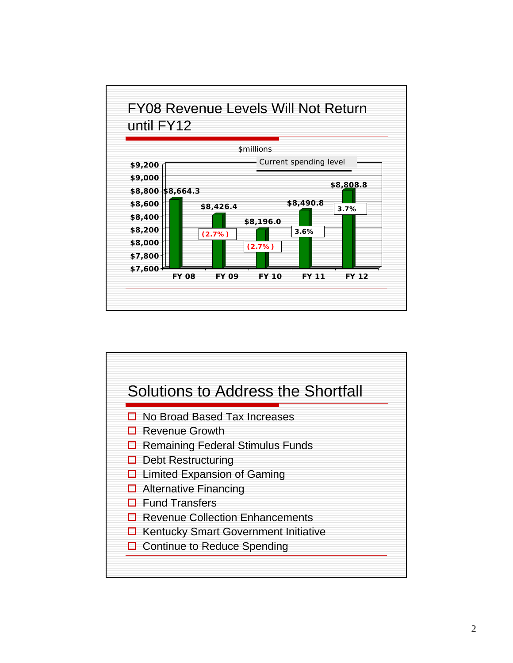

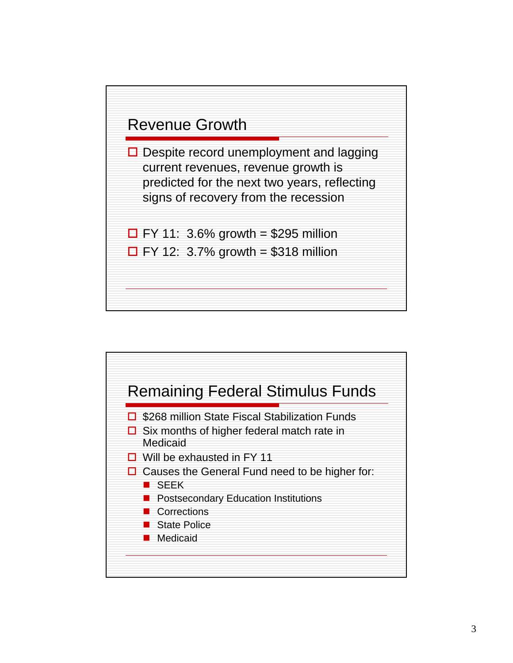

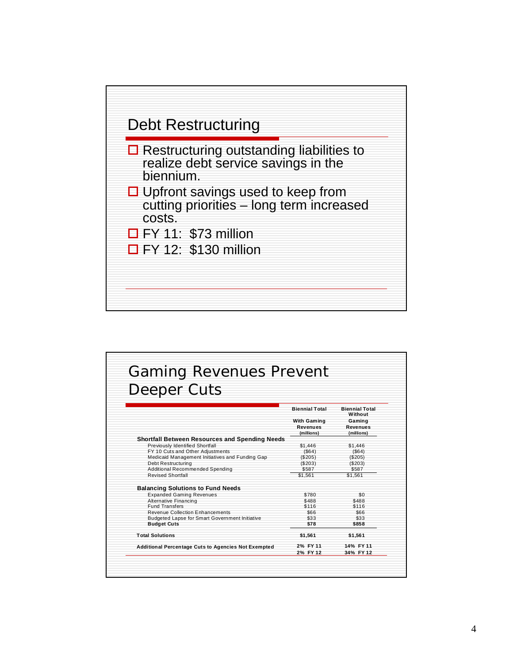

| Deeper Cuts                                                                       |                       |                                  |
|-----------------------------------------------------------------------------------|-----------------------|----------------------------------|
|                                                                                   | <b>Biennial Total</b> | <b>Biennial Total</b><br>Without |
|                                                                                   | With Gaming           | Gaming                           |
|                                                                                   | Revenues              | Revenues                         |
|                                                                                   | (millions)            | (millions)                       |
| Shortfall Between Resources and Spending Needs<br>Previously Identified Shortfall | \$1,446               | \$1,446                          |
| FY 10 Cuts and Other Adjustments                                                  | ( \$64)               | (S64)                            |
| Medicaid Management Initiatives and Funding Gap                                   | (\$205)               | (\$205)                          |
| Debt Restructuring                                                                | (\$203)               | (\$203)                          |
| Additional Recommended Spending                                                   | \$587                 | \$587                            |
| <b>Revised Shortfall</b>                                                          | \$1.561               | \$1.561                          |
| <b>Balancing Solutions to Fund Needs</b>                                          |                       |                                  |
| <b>Expanded Gaming Revenues</b>                                                   | \$780                 | \$0                              |
| Alternative Financing                                                             | \$488                 | \$488                            |
| <b>Fund Transfers</b>                                                             | \$116                 | \$116                            |
| Revenue Collection Enhancements                                                   | 366                   | 366                              |
| Budgeted Lapse for Smart Government Initiative                                    | \$33                  | \$33                             |
| <b>Budget Cuts</b>                                                                | \$78                  | \$858                            |
| <b>Total Solutions</b>                                                            | \$1,561               | \$1,561                          |
| <b>Additional Percentage Cuts to Agencies Not Exempted</b>                        | 2% FY 11              | 14% FY 11                        |
|                                                                                   | 2% FY 12              | 34% FY 12                        |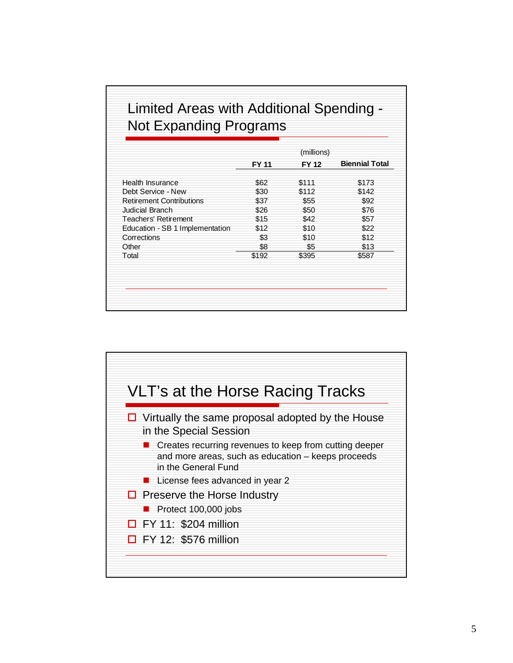## Limited Areas with Additional Spending - Not Expanding Programs

|                                 |       | (millions)   |                       |
|---------------------------------|-------|--------------|-----------------------|
|                                 | FY 11 | <b>FY 12</b> | <b>Biennial Total</b> |
| Health Insurance                | \$62  | \$111        | \$173                 |
| Debt Service - New              | \$30  | \$112        | \$142                 |
| <b>Retirement Contributions</b> | \$37  | \$55         | \$92                  |
| Judicial Branch                 | \$26  | \$50         | \$76                  |
| Teachers' Retirement            | \$15  | \$42         | \$57                  |
| Education - SB 1 Implementation | \$12  | \$10         | \$22                  |
| Corrections                     | \$3   | \$10         | \$12                  |
| Other                           | \$8   | \$5          | \$13                  |
| Total                           | \$192 | \$395        | \$587                 |
|                                 |       |              |                       |
|                                 |       |              |                       |

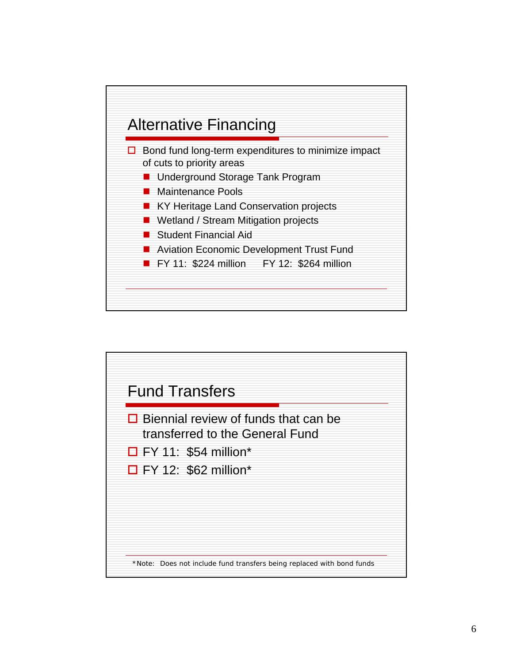

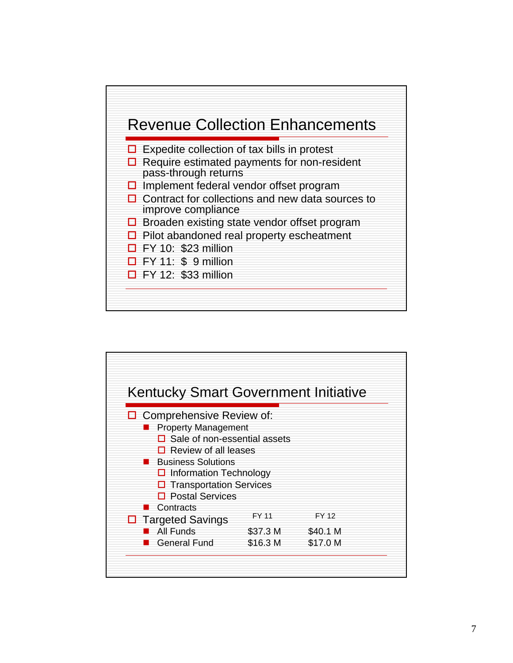

| Kentucky Smart Government Initiative |          |          |
|--------------------------------------|----------|----------|
| Comprehensive Review of:             |          |          |
| <b>Property Management</b>           |          |          |
| Sale of non-essential assets         |          |          |
| $\Box$ Review of all leases          |          |          |
| <b>Business Solutions</b>            |          |          |
| $\Box$ Information Technology        |          |          |
| $\Box$ Transportation Services       |          |          |
| <b>Postal Services</b>               |          |          |
| Contracts                            |          |          |
| <b>Targeted Savings</b><br>□         | FY 11    | FY 12    |
| All Funds                            | \$37.3 M | \$40.1 M |
| General Fund                         | \$16.3 M | \$17.0 M |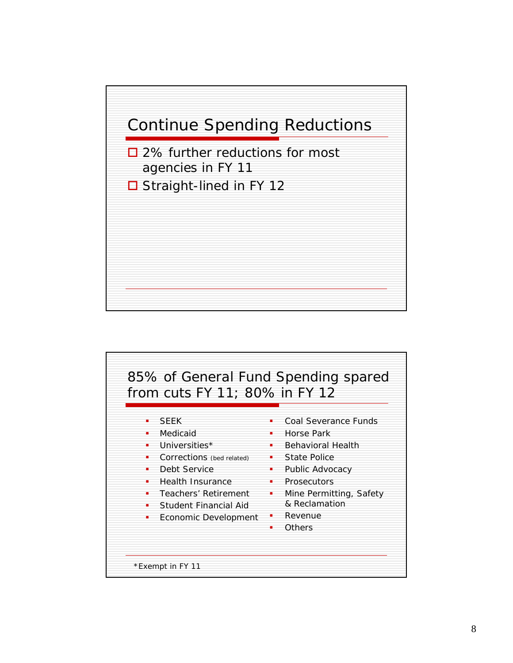

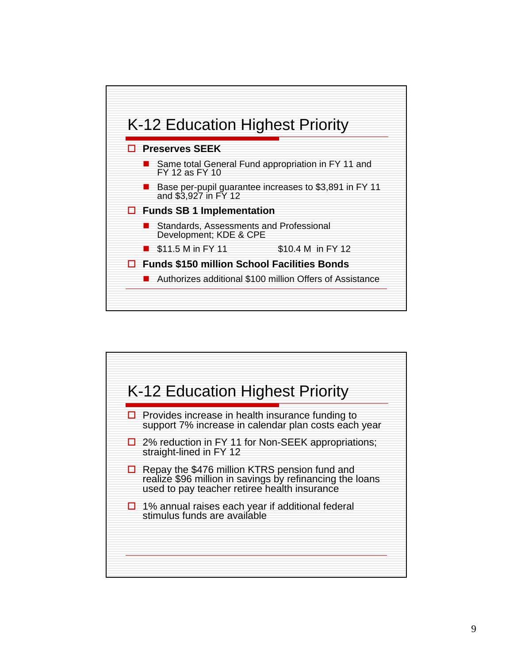

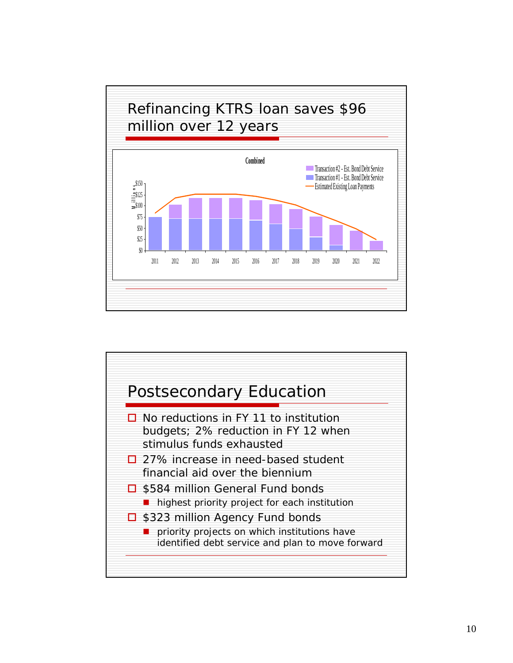

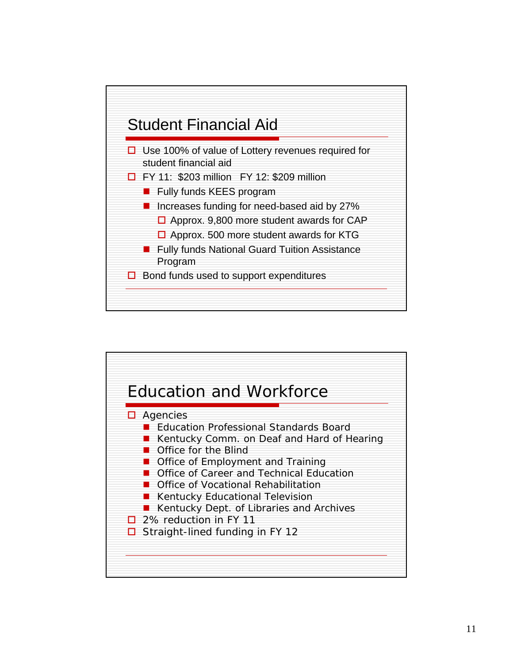

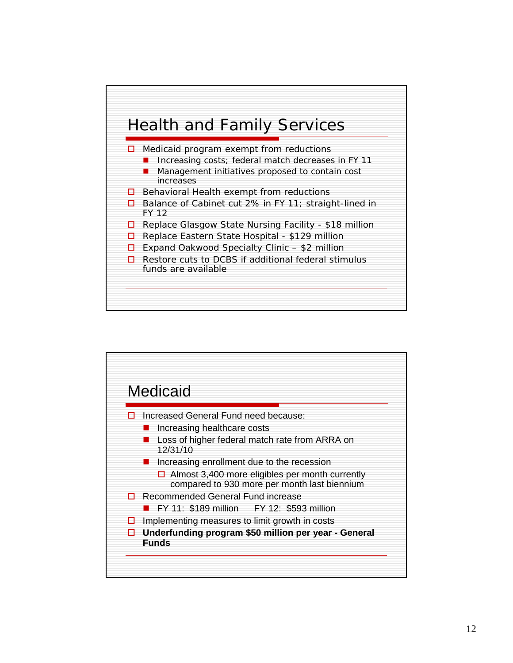

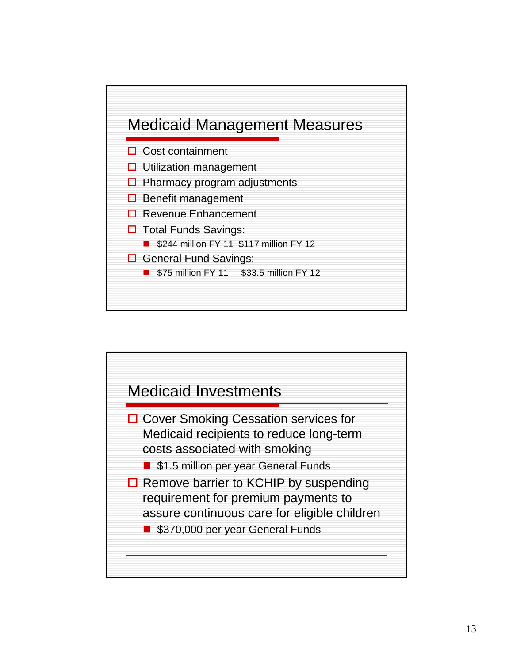

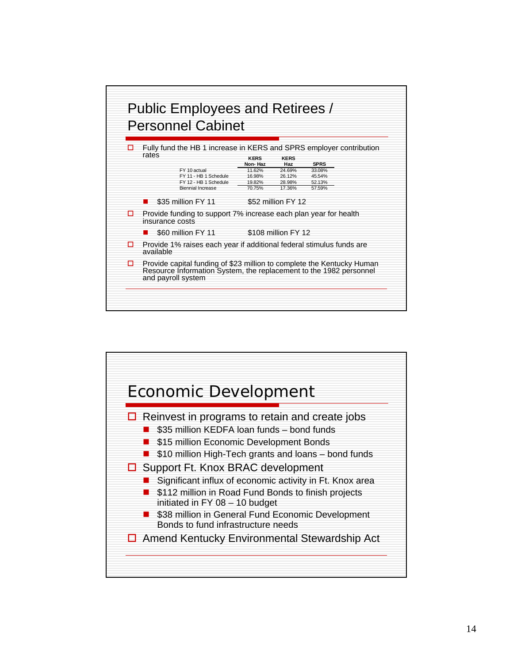

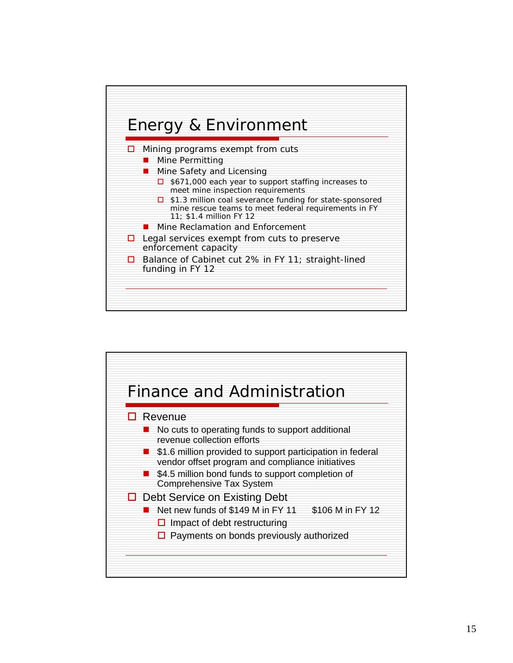

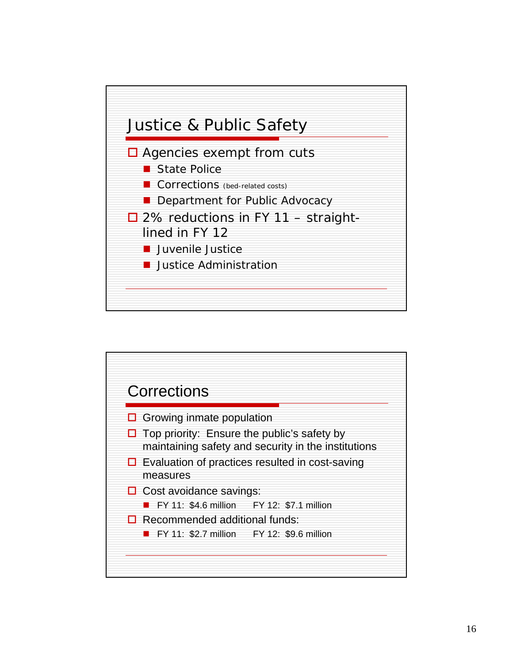

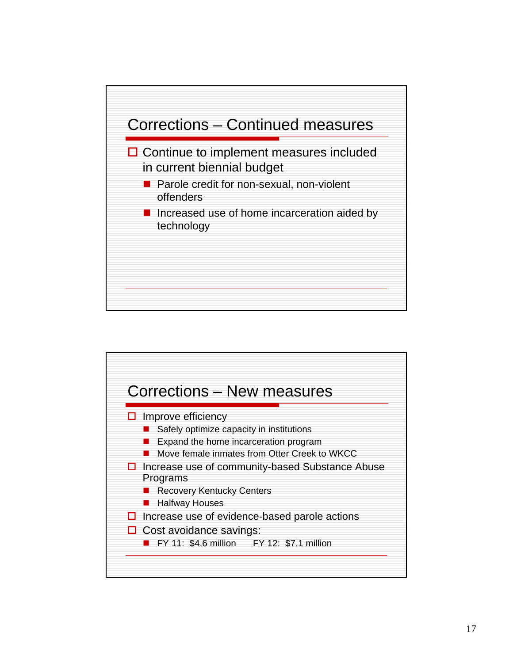

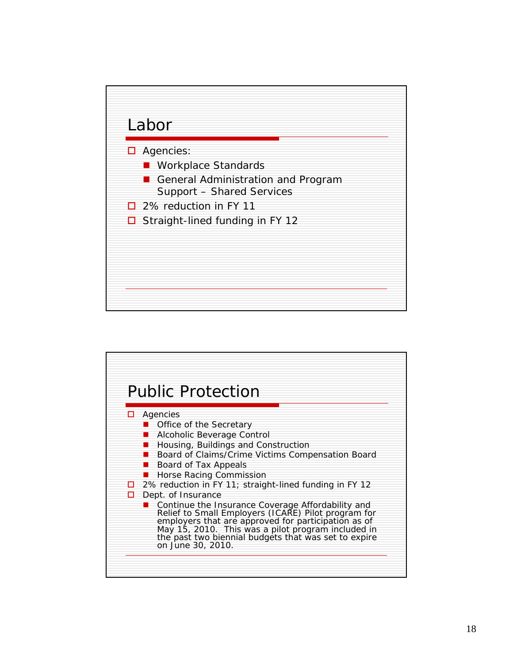

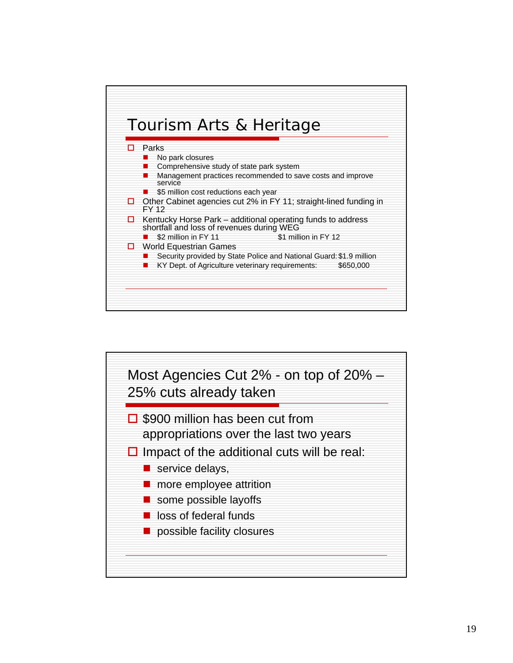

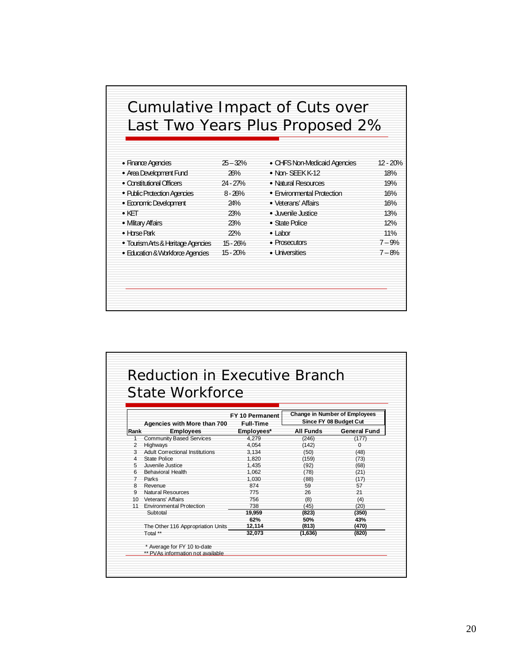## Cumulative Impact of Cuts over Last Two Years Plus Proposed 2%

| • Finance Agencies                 | $25 - 32%$ | • CHFS Non-Medicaid Agencies | $12 - 20%$ |
|------------------------------------|------------|------------------------------|------------|
| • Area Development Fund            | 26%        | $\bullet$ Non-SFFK K-12      | 18%        |
| • Constitutional Officers          | $24 - 27%$ | • Natural Resources          | 19%        |
| • Public Protection Agencies       | $8 - 26%$  | • Environmental Protection   | 16%        |
| • Economic Development             | 24%        | • Veterans' Affairs          | 16%        |
| $\bullet$ KFT                      | 23%        | · Juvenile Justice           | 13%        |
| • Mlitary Affairs                  | 23%        | • State Police               | 12%        |
| $\bullet$ Horse Park               | 22%        | $\bullet$ I abor             | 11%        |
| • Tourism Arts & Heritage Agencies | $15 - 26%$ | $\bullet$ Prosecutors        | $7 - 9%$   |
| • Education & Workforce Agencies   | $15 - 20%$ | • Universities               | $7 - 8%$   |

|      | State Workforce                        |                  |                                      |                        |
|------|----------------------------------------|------------------|--------------------------------------|------------------------|
|      |                                        |                  |                                      |                        |
|      |                                        | FY 10 Permanent  | <b>Change in Number of Employees</b> |                        |
|      | Agencies with More than 700            | <b>Full-Time</b> |                                      | Since FY 08 Budget Cut |
| Rank | <b>Employees</b>                       | Employees*       | All Funds                            | <b>General Fund</b>    |
|      | <b>Community Based Services</b>        | 4.279            | (246)                                | (177)                  |
|      | <b>Highways</b>                        | 4.054            | (142)                                | 0                      |
| 3    | <b>Adult Correctional Institutions</b> | 3.134            | (50)                                 | (48)                   |
| 4    | State Police                           | 1.820            | (159)                                | (73)                   |
| 5    | Juvenile Justice                       | 1.435            | (92)                                 | (68)                   |
| 6    | Behavioral Health                      | 1,062            | (78)                                 | (21)                   |
|      | Parks                                  | 1.030            | (88)                                 | (17)                   |
| 8    | Revenue                                | 874              | 59                                   | 57                     |
| q    | <b>Natural Resources</b>               | 775              | 26                                   | 21                     |
|      | 10 Veterans' Affairs                   | 756              | (8)                                  | (4)                    |
|      | 11 Environmental Protection            | 738              | (45)                                 | (20)                   |
|      | Subtotal                               | 19,959           | (823)                                | (350)                  |
|      |                                        | 62%              | 50%                                  | 43%                    |
|      | The Other 116 Appropriation Units      | 12.114           | (813)                                | (470)                  |
|      | Total **                               | 32.073           | (1,636)                              | (820)                  |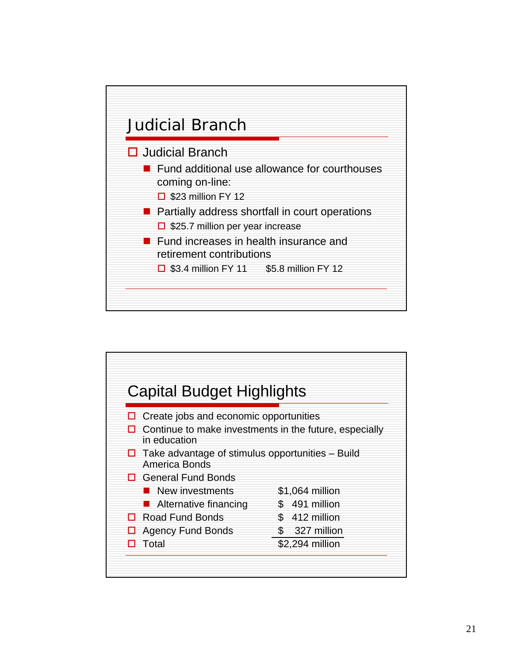

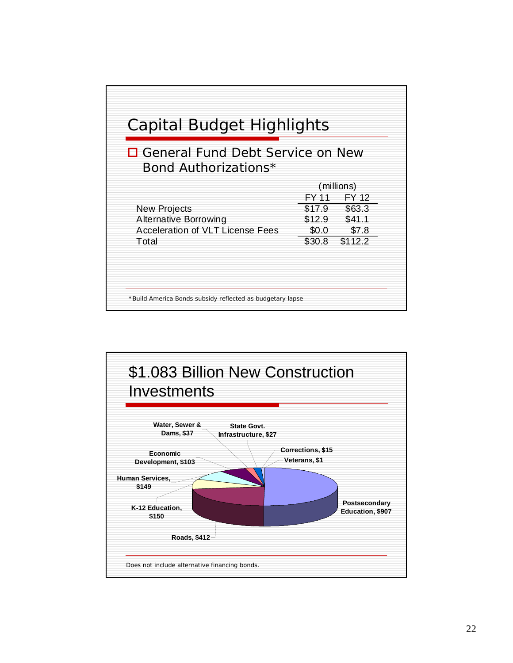

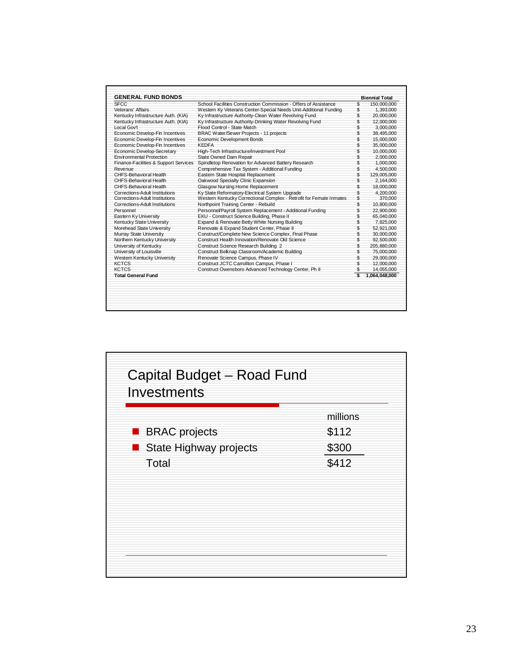|                                                                     |                                                                                                                                                                                                                                                                   | <b>Biennial Total</b> |
|---------------------------------------------------------------------|-------------------------------------------------------------------------------------------------------------------------------------------------------------------------------------------------------------------------------------------------------------------|-----------------------|
| School Facilities Construction Commission - Offers of Assistance    | \$                                                                                                                                                                                                                                                                | 150.000.000           |
|                                                                     |                                                                                                                                                                                                                                                                   | 1,393,000             |
|                                                                     |                                                                                                                                                                                                                                                                   | 20,000,000            |
|                                                                     |                                                                                                                                                                                                                                                                   | 12,000,000            |
|                                                                     | \$                                                                                                                                                                                                                                                                | 3,000,000             |
|                                                                     |                                                                                                                                                                                                                                                                   | 38,495,000            |
| Economic Development Bonds                                          | \$                                                                                                                                                                                                                                                                | 15,000,000            |
| <b>KEDFA</b>                                                        | \$                                                                                                                                                                                                                                                                | 35,000,000            |
| High-Tech Infrastructure/Investment Pool                            | \$                                                                                                                                                                                                                                                                | 10,000,000            |
| State Owned Dam Repair                                              | \$                                                                                                                                                                                                                                                                | 2.000.000             |
| Spindletop Renovation for Advanced Battery Research                 | \$                                                                                                                                                                                                                                                                | 1.000.000             |
| Comprehensive Tax System - Additional Funding                       | \$                                                                                                                                                                                                                                                                | 4.500.000             |
| Eastern State Hospital Replacement                                  | \$                                                                                                                                                                                                                                                                | 129,005,000           |
| Oakwood Specialty Clinic Expansion                                  | \$                                                                                                                                                                                                                                                                | 2,164,000             |
| Glasgow Nursing Home Replacement                                    | \$                                                                                                                                                                                                                                                                | 18,000,000            |
| Ky State Reformatory-Electrical System Upgrade                      | \$                                                                                                                                                                                                                                                                | 4,200,000             |
| Western Kentucky Correctional Complex - Retrofit for Female Inmates | \$                                                                                                                                                                                                                                                                | 370,000               |
| Northpoint Training Center - Rebuild                                | \$                                                                                                                                                                                                                                                                | 10.800.000            |
| Personnel/Payroll System Replacement - Additional Funding           | \$                                                                                                                                                                                                                                                                | 22.900.000            |
| EKU - Construct Science Building, Phase II                          | \$                                                                                                                                                                                                                                                                | 65.040.000            |
| Expand & Renovate Betty White Nursing Building                      | \$                                                                                                                                                                                                                                                                | 7,825,000             |
| Renovate & Expand Student Center, Phase II                          | \$                                                                                                                                                                                                                                                                | 52,921,000            |
| Construct/Complete New Science Complex, Final Phase                 | \$                                                                                                                                                                                                                                                                | 30.000.000            |
| Construct Health Innovation/Renovate Old Science                    | \$                                                                                                                                                                                                                                                                | 92,500,000            |
| Construct Science Research Building 2                               | \$                                                                                                                                                                                                                                                                | 205,880,000           |
| Construct Belknap Classroom/Academic Building                       | \$                                                                                                                                                                                                                                                                | 75,000,000            |
| Renovate Science Campus, Phase IV                                   | \$                                                                                                                                                                                                                                                                | 29.000.000            |
| Construct JCTC Carrollton Campus, Phase I                           | \$                                                                                                                                                                                                                                                                | 12,000,000            |
| Construct Owensboro Advanced Technology Center, Ph II               | \$                                                                                                                                                                                                                                                                | 14,055,000            |
|                                                                     | Ŝ                                                                                                                                                                                                                                                                 | 1,064,048,000         |
|                                                                     | Western Ky Veterans Center-Special Needs Unit-Additional Funding<br>Ky Infrastructure Authority-Clean Water Revolving Fund<br>Ky Infrastructure Authority-Drinking Water Revolving Fund<br>Flood Control - State Match<br>BRAC Water/Sewer Projects - 11 projects | \$<br>\$<br>\$<br>\$  |

| Capital Budget - Road Fund<br>Investments |          |
|-------------------------------------------|----------|
|                                           | millions |
| <b>BRAC</b> projects                      | \$112    |
| State Highway projects                    | \$300    |
| Total                                     | \$412    |
|                                           |          |
|                                           |          |
|                                           |          |
|                                           |          |
|                                           |          |
|                                           |          |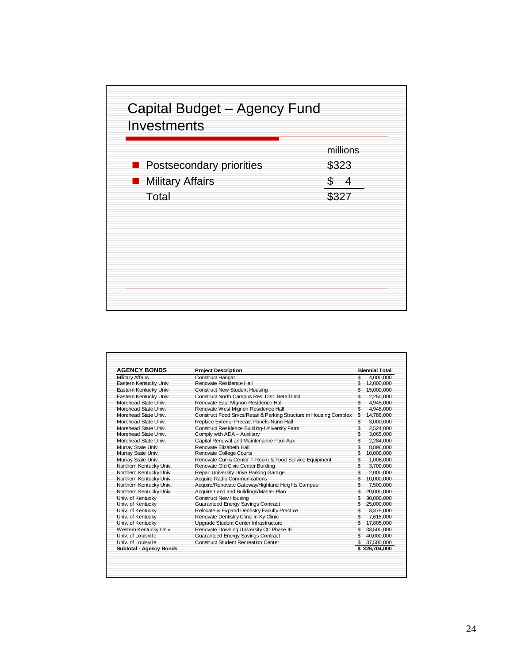|                                                            | millions<br>\$323 |
|------------------------------------------------------------|-------------------|
| <b>Postsecondary priorities</b><br><b>Nilitary Affairs</b> | 4<br>\$           |
| Total                                                      | \$327             |
|                                                            |                   |
|                                                            |                   |
|                                                            |                   |

| <b>AGENCY BONDS</b>     | <b>Project Description</b>                                         |     | <b>Biennial Total</b> |
|-------------------------|--------------------------------------------------------------------|-----|-----------------------|
| <b>Military Affairs</b> | <b>Construct Hangar</b>                                            | \$  | 4.000.000             |
| Eastern Kentucky Univ.  | Renovate Residence Hall                                            |     | 12,000,000            |
| Eastern Kentucky Univ.  | <b>Construct New Student Housing</b>                               | \$. | 15,000,000            |
| Eastern Kentucky Univ.  | Construct North Campus Res. Dist. Retail Unit                      |     | 2,250,000             |
| Morehead State Univ.    | Renovate East Mignon Residence Hall                                | \$  | 4,948,000             |
| Morehead State Univ.    | Renovate West Mignon Residence Hall                                | \$  | 4,948,000             |
| Morehead State Univ.    | Construct Food Srvcs/Retail & Parking Structure in Housing Complex | \$  | 14.786.000            |
| Morehead State Univ.    | Replace Exterior Precast Panels-Nunn Hall                          | \$  | 3,000,000             |
| Morehead State Univ.    | Construct Residence Building-University Farm                       | \$  | 2,524,000             |
| Morehead State Univ.    | Comply with ADA - Auxiliary                                        | \$  | 3,065,000             |
| Morehead State Univ.    | Capital Renewal and Maintenance Pool-Aux                           |     | 2,284,000             |
| Murray State Univ.      | Renovate Elizabeth Hall                                            | \$  | 8.896.000             |
| Murray State Univ.      | Renovate College Courts                                            | \$  | 10,000,000            |
| Murray State Univ.      | Renovate Curris Center T-Room & Food Service Equipment             | \$  | 1,008,000             |
| Northern Kentucky Univ. | Renovate Old Civic Center Building                                 | \$  | 3,700,000             |
| Northern Kentucky Univ. | Repair University Drive Parking Garage                             | \$  | 2.000.000             |
| Northern Kentucky Univ. | <b>Acquire Radio Communications</b>                                | \$  | 10,000,000            |
| Northern Kentucky Univ. | Acquire/Renovate Gateway/Highland Heights Campus                   | \$  | 7,500,000             |
| Northern Kentucky Univ. | Acquire Land and Buildings/Master Plan                             | \$  | 20,000,000            |
| Univ. of Kentucky       | <b>Construct New Housing</b>                                       |     | 30,000,000            |
| Univ. of Kentucky       | Guaranteed Energy Savings Contract                                 |     | 25,000,000            |
| Univ. of Kentucky       | Relocate & Expand Dentistry Faculty Practice                       | \$  | 3,375,000             |
| Univ. of Kentucky       | Renovate Dentistry Clinic in Ky Clinic                             | \$  | 7.615.000             |
| Univ. of Kentucky       | Upgrade Student Center Infrastructure                              |     | 17,805,000            |
| Western Kentucky Univ.  | Renovate Downing University Ctr Phase III                          |     | 33,500,000            |
| Univ. of Louisville     | Guaranteed Energy Savings Contract                                 |     | 40,000,000            |
| Univ. of Louisville     | <b>Construct Student Recreation Center</b>                         | \$  | 37,500,000            |
| Subtotal - Agency Bonds |                                                                    |     | \$326,704.000         |
|                         |                                                                    |     |                       |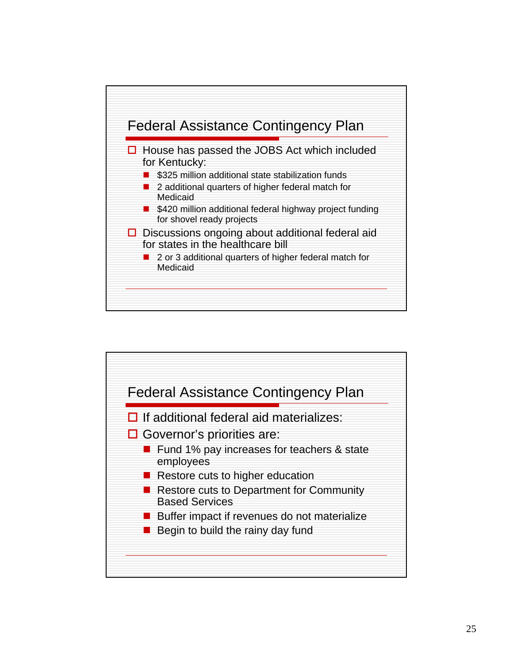